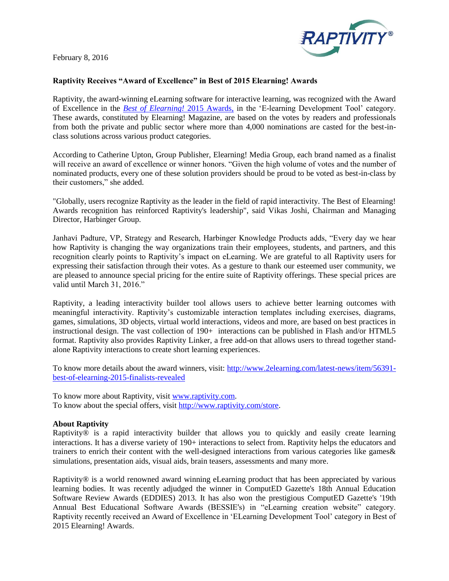February 8, 2016



## **Raptivity Receives "Award of Excellence" in Best of 2015 Elearning! Awards**

Raptivity, the award-winning eLearning software for interactive learning, was recognized with the Award of Excellence in the *[Best of Elearning!](http://www.2elearning.com/latest-news/item/56391-best-of-elearning-2015-finalists-revealed)* 2015 Awards, in the 'E-learning Development Tool' category. These awards, constituted by Elearning! Magazine, are based on the votes by readers and professionals from both the private and public sector where more than 4,000 nominations are casted for the best-inclass solutions across various product categories.

According to Catherine Upton, Group Publisher, Elearning! Media Group, each brand named as a finalist will receive an award of excellence or winner honors. "Given the high volume of votes and the number of nominated products, every one of these solution providers should be proud to be voted as best-in-class by their customers," she added.

"Globally, users recognize Raptivity as the leader in the field of rapid interactivity. The Best of Elearning! Awards recognition has reinforced Raptivity's leadership", said Vikas Joshi, Chairman and Managing Director, Harbinger Group.

Janhavi Padture, VP, Strategy and Research, Harbinger Knowledge Products adds, "Every day we hear how Raptivity is changing the way organizations train their employees, students, and partners, and this recognition clearly points to Raptivity's impact on eLearning. We are grateful to all Raptivity users for expressing their satisfaction through their votes. As a gesture to thank our esteemed user community, we are pleased to announce special pricing for the entire suite of Raptivity offerings. These special prices are valid until March 31, 2016."

Raptivity, a leading interactivity builder tool allows users to achieve better learning outcomes with meaningful interactivity. Raptivity's customizable interaction templates including exercises, diagrams, games, simulations, 3D objects, virtual world interactions, videos and more, are based on best practices in instructional design. The vast collection of 190+ interactions can be published in Flash and/or HTML5 format. Raptivity also provides Raptivity Linker, a free add-on that allows users to thread together standalone Raptivity interactions to create short learning experiences.

To know more details about the award winners, visit: [http://www.2elearning.com/latest-news/item/56391](http://www.2elearning.com/latest-news/item/56391-best-of-elearning-2015-finalists-revealed) [best-of-elearning-2015-finalists-revealed](http://www.2elearning.com/latest-news/item/56391-best-of-elearning-2015-finalists-revealed)

To know more about Raptivity, visit [www.raptivity.com.](http://www.raptivity.com/) To know about the special offers, visit [http://www.raptivity.com/store.](http://www.raptivity.com/store)

## **About Raptivity**

Raptivity<sup>®</sup> is a rapid interactivity builder that allows you to quickly and easily create learning interactions. It has a diverse variety of 190+ interactions to select from. Raptivity helps the educators and trainers to enrich their content with the well-designed interactions from various categories like games& simulations, presentation aids, visual aids, brain teasers, assessments and many more.

Raptivity® is a world renowned award winning eLearning product that has been appreciated by various learning bodies. It was recently adjudged the winner in ComputED Gazette's 18th Annual Education Software Review Awards (EDDIES) 2013. It has also won the prestigious ComputED Gazette's '19th Annual Best Educational Software Awards (BESSIE's) in "eLearning creation website" category. Raptivity recently received an Award of Excellence in 'ELearning Development Tool' category in Best of 2015 Elearning! Awards.